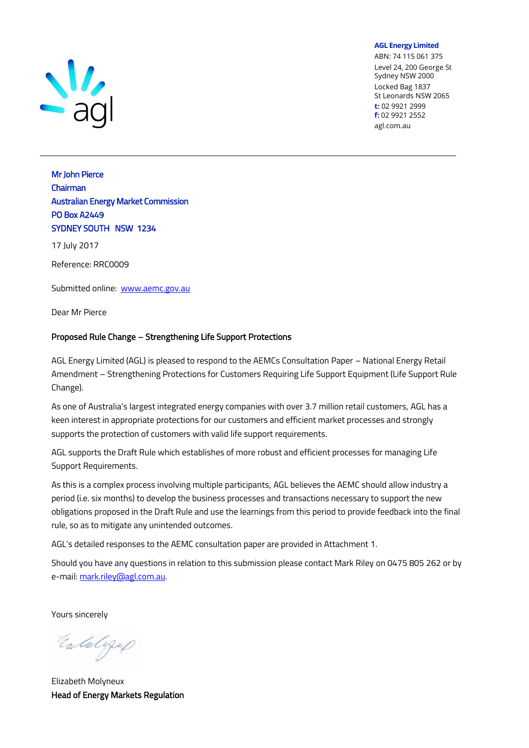

**AGL Energy Limited**

ABN: 74 115 061 375 Level 24, 200 George St Sydney NSW 2000 Locked Bag 1837 St Leonards NSW 2065 **t:** 02 9921 2999 **f:** 02 9921 2552 agl.com.au

### **Mr John Pierce Chairman Australian Energy Market Commission PO Box A2449 SYDNEY SOUTH NSW 1234**

**17 July 2017**

**Reference: RRC0009**

**Submitted online: [www.aemc.gov.au](http://www.aemc.gov.au/)**

**Dear Mr Pierce**

#### **Proposed Rule Change – Strengthening Life Support Protections**

**AGL Energy Limited (AGL) is pleased to respond to the AEMCs Consultation Paper – National Energy Retail Amendment – Strengthening Protections for Customers Requiring Life Support Equipment (Life Support Rule Change).** 

**As one of Australia's largest integrated energy companies with over 3.7 million retail customers, AGL has a keen interest in appropriate protections for our customers and efficient market processes and strongly supports the protection of customers with valid life support requirements.**

**AGL supports the Draft Rule which establishes of more robust and efficient processes for managing Life Support Requirements.**

**As this is a complex process involving multiple participants, AGL believes the AEMC should allow industry a period (i.e. six months) to develop the business processes and transactions necessary to support the new obligations proposed in the Draft Rule and use the learnings from this period to provide feedback into the final rule, so as to mitigate any unintended outcomes.** 

**AGL's detailed responses to the AEMC consultation paper are provided in Attachment 1.**

**Should you have any questions in relation to this submission please contact Mark Riley on 0475 805 262 or by e-mail[: mark.riley@agl.com.au.](mailto:mark.riley@agl.com.au)**

**Yours sincerely**

Entalgrap

**Elizabeth Molyneux Head of Energy Markets Regulation**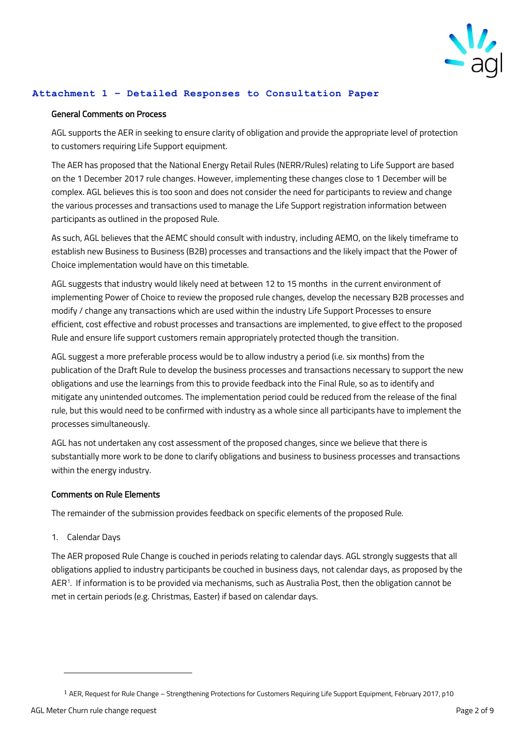

#### **Attachment 1 – Detailed Responses to Consultation Paper**

#### **General Comments on Process**

**AGL supports the AER in seeking to ensure clarity of obligation and provide the appropriate level of protection to customers requiring Life Support equipment.**

**The AER has proposed that the National Energy Retail Rules (NERR/Rules) relating to Life Support are based on the 1 December 2017 rule changes. However, implementing these changes close to 1 December will be complex. AGL believes this is too soon and does not consider the need for participants to review and change the various processes and transactions used to manage the Life Support registration information between participants as outlined in the proposed Rule.** 

**As such, AGL believes that the AEMC should consult with industry, including AEMO, on the likely timeframe to establish new Business to Business (B2B) processes and transactions and the likely impact that the Power of Choice implementation would have on this timetable.** 

**AGL suggests that industry would likely need at between 12 to 15 months in the current environment of implementing Power of Choice to review the proposed rule changes, develop the necessary B2B processes and modify / change any transactions which are used within the industry Life Support Processes to ensure efficient, cost effective and robust processes and transactions are implemented, to give effect to the proposed Rule and ensure life support customers remain appropriately protected though the transition.** 

**AGL suggest a more preferable process would be to allow industry a period (i.e. six months) from the publication of the Draft Rule to develop the business processes and transactions necessary to support the new obligations and use the learnings from this to provide feedback into the Final Rule, so as to identify and mitigate any unintended outcomes. The implementation period could be reduced from the release of the final rule, but this would need to be confirmed with industry as a whole since all participants have to implement the processes simultaneously.**

**AGL has not undertaken any cost assessment of the proposed changes, since we believe that there is substantially more work to be done to clarify obligations and business to business processes and transactions within the energy industry.**

#### **Comments on Rule Elements**

The remainder of the submission provides feedback on specific elements of the proposed Rule.

**1. Calendar Days**

The AER proposed Rule Change is couched in periods relating to calendar days. AGL strongly suggests that all obligations applied to industry participants be couched in business days, not calendar days, as proposed by the AER<sup>1</sup> . If information is to be provided via mechanisms, such as Australia Post, then the obligation cannot be met in certain periods (e.g. Christmas, Easter) if based on calendar days.

 $\overline{a}$ 

<sup>1</sup> AER, Request for Rule Change – Strengthening Protections for Customers Requiring Life Support Equipment, February 2017, p10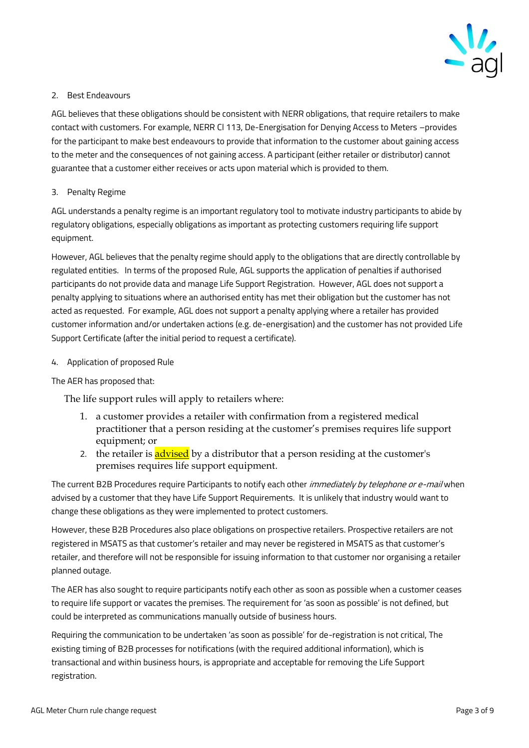

#### **2. Best Endeavours**

AGL believes that these obligations should be consistent with NERR obligations, that require retailers to make contact with customers. For example, NERR Cl 113, De-Energisation for Denying Access to Meters –provides for the participant to make best endeavours to provide that information to the customer about gaining access to the meter and the consequences of not gaining access. A participant (either retailer or distributor) cannot guarantee that a customer either receives or acts upon material which is provided to them.

#### **3. Penalty Regime**

**AGL understands a penalty regime is an important regulatory tool to motivate industry participants to abide by regulatory obligations, especially obligations as important as protecting customers requiring life support equipment.**

**However, AGL believes that the penalty regime should apply to the obligations that are directly controllable by regulated entities. In terms of the proposed Rule, AGL supports the application of penalties if authorised participants do not provide data and manage Life Support Registration. However, AGL does not support a penalty applying to situations where an authorised entity has met their obligation but the customer has not acted as requested. For example, AGL does not support a penalty applying where a retailer has provided customer information and/or undertaken actions (e.g. de-energisation) and the customer has not provided Life Support Certificate (after the initial period to request a certificate).**

#### **4. Application of proposed Rule**

#### **The AER has proposed that:**

The life support rules will apply to retailers where:

- 1. a customer provides a retailer with confirmation from a registered medical practitioner that a person residing at the customer's premises requires life support equipment; or
- **2.** the retailer is advised by a distributor that a person residing at the customer's premises requires life support equipment.

**The current B2B Procedures require Participants to notify each other immediately by telephone or e-mail when advised by a customer that they have Life Support Requirements. It is unlikely that industry would want to change these obligations as they were implemented to protect customers.** 

**However, these B2B Procedures also place obligations on prospective retailers. Prospective retailers are not registered in MSATS as that customer's retailer and may never be registered in MSATS as that customer's retailer, and therefore will not be responsible for issuing information to that customer nor organising a retailer planned outage.**

**The AER has also sought to require participants notify each other as soon as possible when a customer ceases to require life support or vacates the premises. The requirement for 'as soon as possible' is not defined, but could be interpreted as communications manually outside of business hours.** 

**Requiring the communication to be undertaken 'as soon as possible' for de-registration is not critical, The existing timing of B2B processes for notifications (with the required additional information), which is transactional and within business hours, is appropriate and acceptable for removing the Life Support registration.**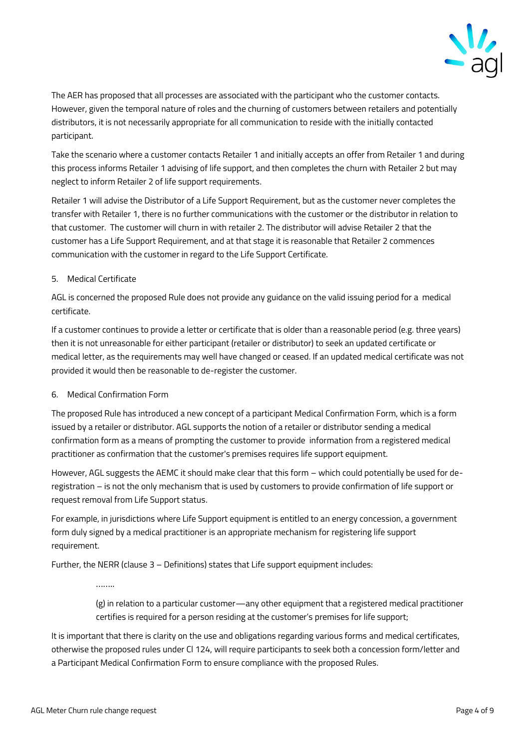

**The AER has proposed that all processes are associated with the participant who the customer contacts. However, given the temporal nature of roles and the churning of customers between retailers and potentially distributors, it is not necessarily appropriate for all communication to reside with the initially contacted participant.**

**Take the scenario where a customer contacts Retailer 1 and initially accepts an offer from Retailer 1 and during this process informs Retailer 1 advising of life support, and then completes the churn with Retailer 2 but may neglect to inform Retailer 2 of life support requirements.** 

**Retailer 1 will advise the Distributor of a Life Support Requirement, but as the customer never completes the transfer with Retailer 1, there is no further communications with the customer or the distributor in relation to that customer. The customer will churn in with retailer 2. The distributor will advise Retailer 2 that the customer has a Life Support Requirement, and at that stage it is reasonable that Retailer 2 commences communication with the customer in regard to the Life Support Certificate.**

#### **5. Medical Certificate**

**AGL is concerned the proposed Rule does not provide any guidance on the valid issuing period for a medical certificate.** 

**If a customer continues to provide a letter or certificate that is older than a reasonable period (e.g. three years) then it is not unreasonable for either participant (retailer or distributor) to seek an updated certificate or medical letter, as the requirements may well have changed or ceased. If an updated medical certificate was not provided it would then be reasonable to de-register the customer.**

#### **6. Medical Confirmation Form**

**The proposed Rule has introduced a new concept of a participant Medical Confirmation Form, which is a form issued by a retailer or distributor. AGL supports the notion of a retailer or distributor sending a medical confirmation form as a means of prompting the customer to provide information from a registered medical practitioner as confirmation that the customer's premises requires life support equipment.**

However, AGL suggests the AEMC it should make clear that this form – which could potentially be used for de**registration – is not the only mechanism that is used by customers to provide confirmation of life support or request removal from Life Support status.** 

**For example, in jurisdictions where Life Support equipment is entitled to an energy concession, a government form duly signed by a medical practitioner is an appropriate mechanism for registering life support requirement.**

**Further, the NERR (clause 3 – Definitions) states that Life support equipment includes:**

……

(g) in relation to a particular customer—any other equipment that a registered medical practitioner certifies is required for a person residing at the customer's premises for life support;

**It is important that there is clarity on the use and obligations regarding various forms and medical certificates, otherwise the proposed rules under Cl 124, will require participants to seek both a concession form/letter and a Participant Medical Confirmation Form to ensure compliance with the proposed Rules.**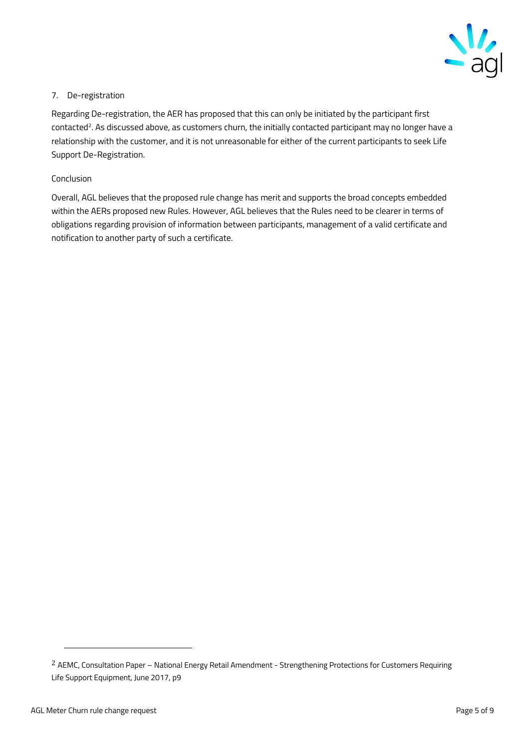

#### **7. De-registration**

**Regarding De-registration, the AER has proposed that this can only be initiated by the participant first contacted<sup>2</sup> . As discussed above, as customers churn, the initially contacted participant may no longer have a relationship with the customer, and it is not unreasonable for either of the current participants to seek Life Support De-Registration.**

#### **Conclusion**

**Overall, AGL believes that the proposed rule change has merit and supports the broad concepts embedded within the AERs proposed new Rules. However, AGL believes that the Rules need to be clearer in terms of obligations regarding provision of information between participants, management of a valid certificate and notification to another party of such a certificate.** 

 $\overline{a}$ 

<sup>2</sup> AEMC, Consultation Paper – National Energy Retail Amendment - Strengthening Protections for Customers Requiring Life Support Equipment, June 2017, p9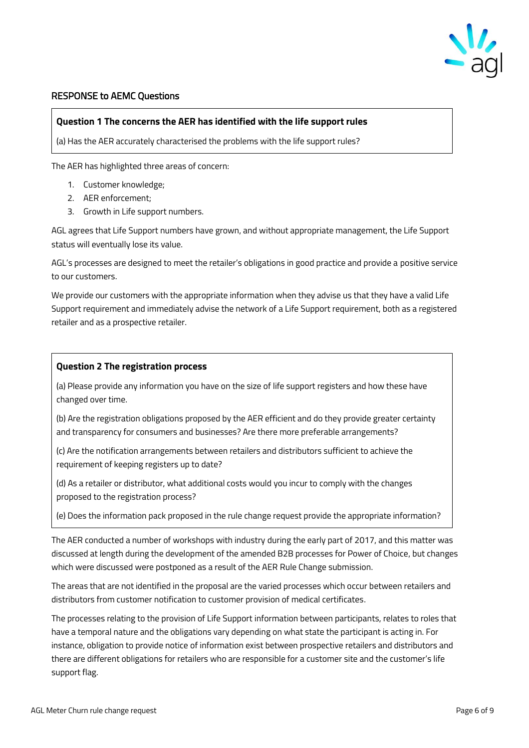

#### **RESPONSE to AEMC Questions**

#### **Question 1 The concerns the AER has identified with the life support rules**

(a) Has the AER accurately characterised the problems with the life support rules?

The AER has highlighted three areas of concern:

- 1. Customer knowledge;
- 2. AER enforcement;
- 3. Growth in Life support numbers.

AGL agrees that Life Support numbers have grown, and without appropriate management, the Life Support status will eventually lose its value.

AGL's processes are designed to meet the retailer's obligations in good practice and provide a positive service to our customers.

We provide our customers with the appropriate information when they advise us that they have a valid Life Support requirement and immediately advise the network of a Life Support requirement, both as a registered retailer and as a prospective retailer.

#### **Question 2 The registration process**

(a) Please provide any information you have on the size of life support registers and how these have changed over time.

(b) Are the registration obligations proposed by the AER efficient and do they provide greater certainty and transparency for consumers and businesses? Are there more preferable arrangements?

(c) Are the notification arrangements between retailers and distributors sufficient to achieve the requirement of keeping registers up to date?

(d) As a retailer or distributor, what additional costs would you incur to comply with the changes proposed to the registration process?

(e) Does the information pack proposed in the rule change request provide the appropriate information?

The AER conducted a number of workshops with industry during the early part of 2017, and this matter was discussed at length during the development of the amended B2B processes for Power of Choice, but changes which were discussed were postponed as a result of the AER Rule Change submission.

The areas that are not identified in the proposal are the varied processes which occur between retailers and distributors from customer notification to customer provision of medical certificates.

The processes relating to the provision of Life Support information between participants, relates to roles that have a temporal nature and the obligations vary depending on what state the participant is acting in. For instance, obligation to provide notice of information exist between prospective retailers and distributors and there are different obligations for retailers who are responsible for a customer site and the customer's life support flag.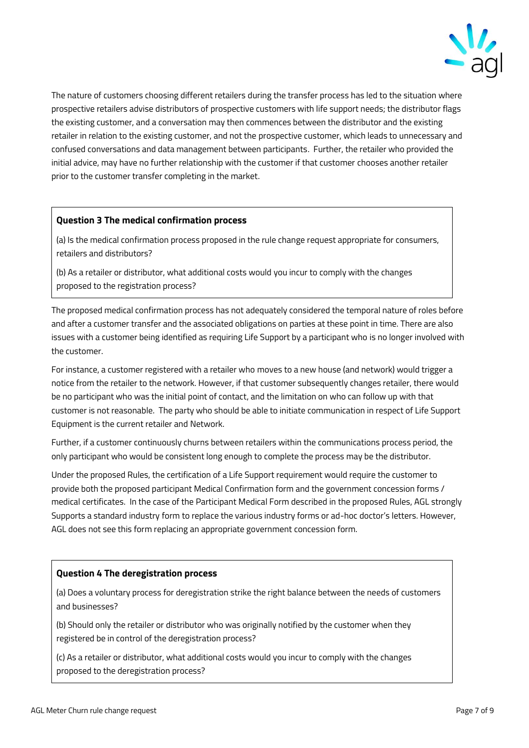

The nature of customers choosing different retailers during the transfer process has led to the situation where prospective retailers advise distributors of prospective customers with life support needs; the distributor flags the existing customer, and a conversation may then commences between the distributor and the existing retailer in relation to the existing customer, and not the prospective customer, which leads to unnecessary and confused conversations and data management between participants. Further, the retailer who provided the initial advice, may have no further relationship with the customer if that customer chooses another retailer prior to the customer transfer completing in the market.

#### **Question 3 The medical confirmation process**

(a) Is the medical confirmation process proposed in the rule change request appropriate for consumers, retailers and distributors?

(b) As a retailer or distributor, what additional costs would you incur to comply with the changes proposed to the registration process?

The proposed medical confirmation process has not adequately considered the temporal nature of roles before and after a customer transfer and the associated obligations on parties at these point in time. There are also issues with a customer being identified as requiring Life Support by a participant who is no longer involved with the customer.

For instance, a customer registered with a retailer who moves to a new house (and network) would trigger a notice from the retailer to the network. However, if that customer subsequently changes retailer, there would be no participant who was the initial point of contact, and the limitation on who can follow up with that customer is not reasonable. The party who should be able to initiate communication in respect of Life Support Equipment is the current retailer and Network.

Further, if a customer continuously churns between retailers within the communications process period, the only participant who would be consistent long enough to complete the process may be the distributor.

Under the proposed Rules, the certification of a Life Support requirement would require the customer to provide both the proposed participant Medical Confirmation form and the government concession forms / medical certificates. In the case of the Participant Medical Form described in the proposed Rules, AGL strongly Supports a standard industry form to replace the various industry forms or ad-hoc doctor's letters. However, AGL does not see this form replacing an appropriate government concession form.

#### **Question 4 The deregistration process**

(a) Does a voluntary process for deregistration strike the right balance between the needs of customers and businesses?

(b) Should only the retailer or distributor who was originally notified by the customer when they registered be in control of the deregistration process?

(c) As a retailer or distributor, what additional costs would you incur to comply with the changes proposed to the deregistration process?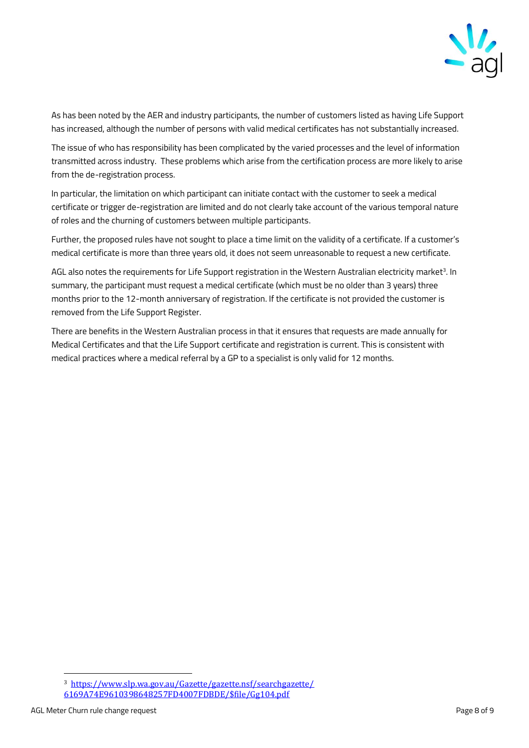

As has been noted by the AER and industry participants, the number of customers listed as having Life Support has increased, although the number of persons with valid medical certificates has not substantially increased.

The issue of who has responsibility has been complicated by the varied processes and the level of information transmitted across industry. These problems which arise from the certification process are more likely to arise from the de-registration process.

In particular, the limitation on which participant can initiate contact with the customer to seek a medical certificate or trigger de-registration are limited and do not clearly take account of the various temporal nature of roles and the churning of customers between multiple participants.

Further, the proposed rules have not sought to place a time limit on the validity of a certificate. If a customer's medical certificate is more than three years old, it does not seem unreasonable to request a new certificate.

AGL also notes the requirements for Life Support registration in the Western Australian electricity market<sup>3</sup>. In summary, the participant must request a medical certificate (which must be no older than 3 years) three months prior to the 12-month anniversary of registration. If the certificate is not provided the customer is removed from the Life Support Register.

There are benefits in the Western Australian process in that it ensures that requests are made annually for Medical Certificates and that the Life Support certificate and registration is current. This is consistent with medical practices where a medical referral by a GP to a specialist is only valid for 12 months.

 $\overline{a}$ 

<sup>3</sup> [https://www.slp.wa.gov.au/Gazette/gazette.nsf/searchgazette/](https://www.slp.wa.gov.au/Gazette/gazette.nsf/searchgazette/6169A74E9610398648257FD4007FDBDE/$file/Gg104.pdf) [6169A74E9610398648257FD4007FDBDE/\\$file/Gg104.pdf](https://www.slp.wa.gov.au/Gazette/gazette.nsf/searchgazette/6169A74E9610398648257FD4007FDBDE/$file/Gg104.pdf)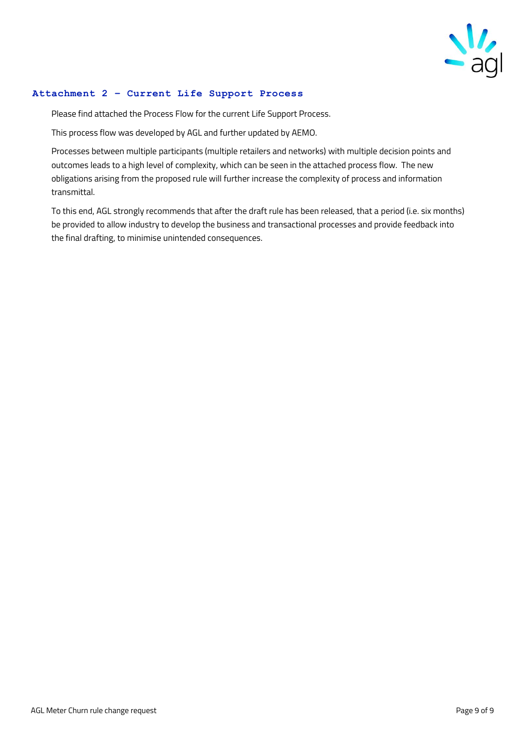

#### **Attachment 2 – Current Life Support Process**

Please find attached the Process Flow for the current Life Support Process.

This process flow was developed by AGL and further updated by AEMO.

Processes between multiple participants (multiple retailers and networks) with multiple decision points and outcomes leads to a high level of complexity, which can be seen in the attached process flow. The new obligations arising from the proposed rule will further increase the complexity of process and information transmittal.

To this end, AGL strongly recommends that after the draft rule has been released, that a period (i.e. six months) be provided to allow industry to develop the business and transactional processes and provide feedback into the final drafting, to minimise unintended consequences.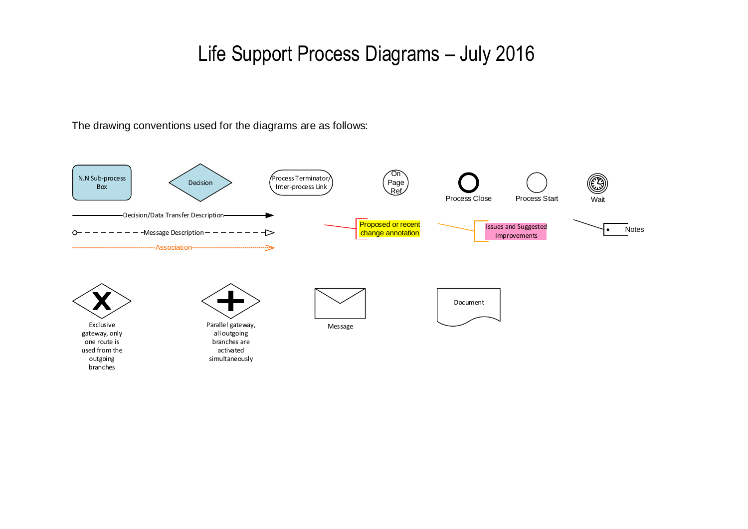# Life Support Process Diagrams – July 2016

The drawing conventions used for the diagrams are as follows:

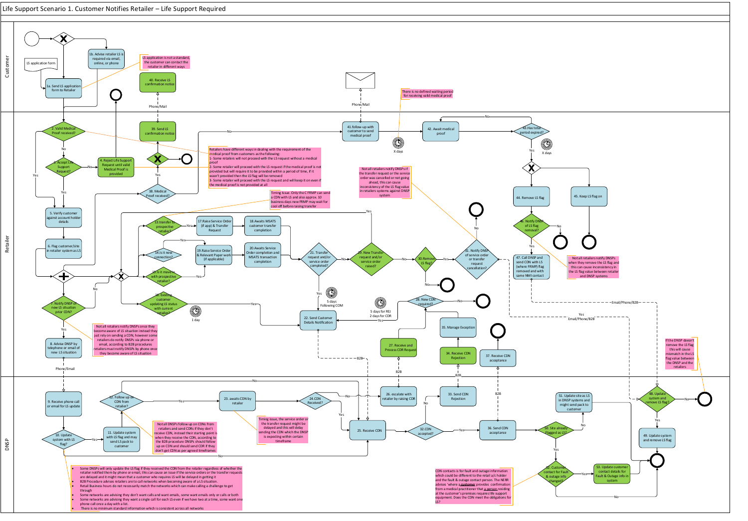

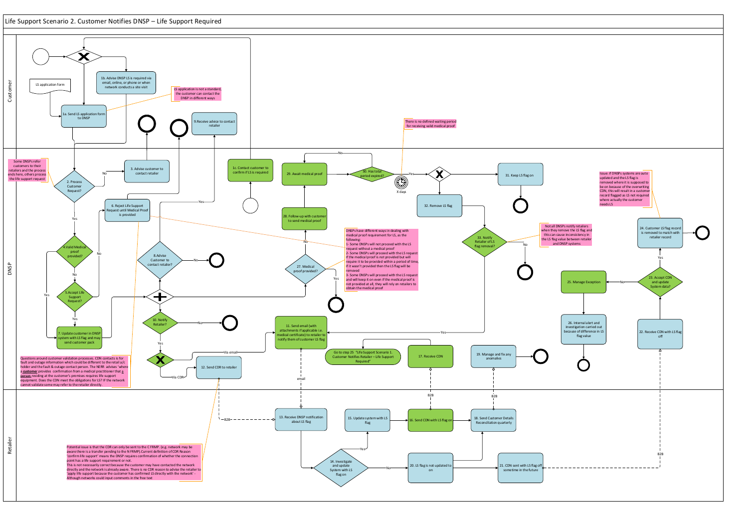## Life Support Scenario 2. Customer Notifies DNSP – Life Support Required

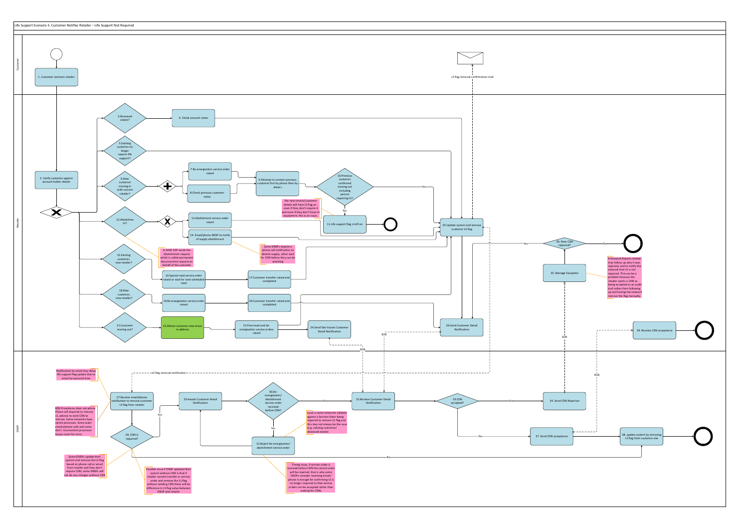